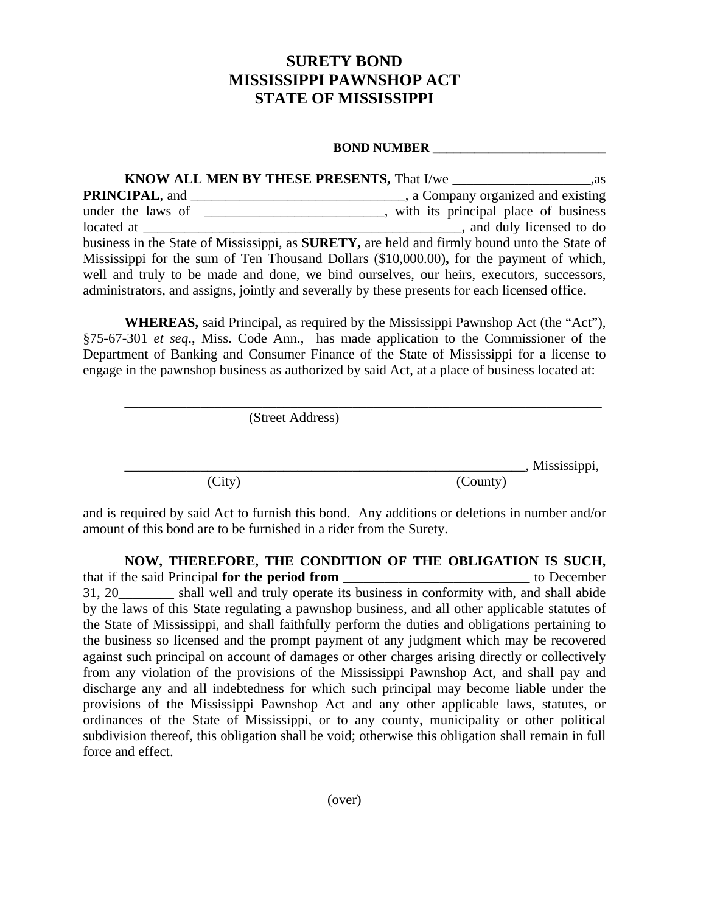## **SURETY BOND MISSISSIPPI PAWNSHOP ACT STATE OF MISSISSIPPI**

## **BOND NUMBER \_\_\_\_\_\_\_\_\_\_\_\_\_\_\_\_\_\_\_\_\_\_\_\_\_**

**KNOW ALL MEN BY THESE PRESENTS,** That I/we \_\_\_\_\_\_\_\_\_\_\_\_\_\_\_\_\_\_\_\_,as PRINCIPAL, and \_\_\_\_\_\_\_\_\_\_\_\_\_\_\_\_\_\_\_\_\_\_\_\_\_\_\_\_\_\_\_, a Company organized and existing under the laws of \_\_\_\_\_\_\_\_\_\_\_\_\_\_\_\_\_\_\_\_\_\_, with its principal place of business located at \_\_\_\_\_\_\_\_\_\_\_\_\_\_\_\_\_\_\_\_\_\_\_\_\_\_\_\_\_\_\_\_\_\_\_\_\_\_\_\_\_\_\_\_\_\_, and duly licensed to do business in the State of Mississippi, as **SURETY,** are held and firmly bound unto the State of Mississippi for the sum of Ten Thousand Dollars (\$10,000.00)**,** for the payment of which, well and truly to be made and done, we bind ourselves, our heirs, executors, successors, administrators, and assigns, jointly and severally by these presents for each licensed office.

**WHEREAS,** said Principal, as required by the Mississippi Pawnshop Act (the "Act"), §75-67-301 *et seq*., Miss. Code Ann., has made application to the Commissioner of the Department of Banking and Consumer Finance of the State of Mississippi for a license to engage in the pawnshop business as authorized by said Act, at a place of business located at:

\_\_\_\_\_\_\_\_\_\_\_\_\_\_\_\_\_\_\_\_\_\_\_\_\_\_\_\_\_\_\_\_\_\_\_\_\_\_\_\_\_\_\_\_\_\_\_\_\_\_\_\_\_\_\_\_\_\_\_\_\_\_\_\_\_\_\_\_\_ (Street Address)

(City) (County)

\_\_\_\_\_\_\_\_\_\_\_\_\_\_\_\_\_\_\_\_\_\_\_\_\_\_\_\_\_\_\_\_\_\_\_\_\_\_\_\_\_\_\_\_\_\_\_\_\_\_\_\_\_\_\_\_\_\_, Mississippi,

and is required by said Act to furnish this bond. Any additions or deletions in number and/or amount of this bond are to be furnished in a rider from the Surety.

**NOW, THEREFORE, THE CONDITION OF THE OBLIGATION IS SUCH,**  that if the said Principal **for the period from** \_\_\_\_\_\_\_\_\_\_\_\_\_\_\_\_\_\_\_\_\_\_\_\_\_\_\_ to December 31, 20\_\_\_\_\_\_\_\_ shall well and truly operate its business in conformity with, and shall abide by the laws of this State regulating a pawnshop business, and all other applicable statutes of the State of Mississippi, and shall faithfully perform the duties and obligations pertaining to the business so licensed and the prompt payment of any judgment which may be recovered against such principal on account of damages or other charges arising directly or collectively from any violation of the provisions of the Mississippi Pawnshop Act, and shall pay and discharge any and all indebtedness for which such principal may become liable under the provisions of the Mississippi Pawnshop Act and any other applicable laws, statutes, or ordinances of the State of Mississippi, or to any county, municipality or other political subdivision thereof, this obligation shall be void; otherwise this obligation shall remain in full force and effect.

(over)